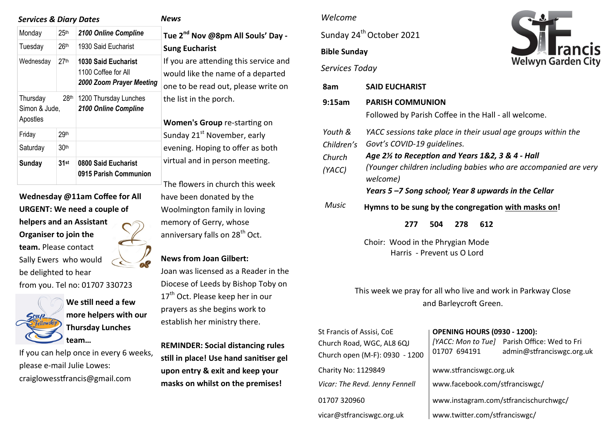| <b>Services &amp; Diary Dates</b>                         |                  | News                                                                          |                                                                        |
|-----------------------------------------------------------|------------------|-------------------------------------------------------------------------------|------------------------------------------------------------------------|
| Monday                                                    | 25 <sup>th</sup> | 2100 Online Compline                                                          | Tue 2 <sup>nd</sup> Nov @8pm A                                         |
| Tuesday                                                   | 26 <sup>th</sup> | 1930 Said Eucharist                                                           | <b>Sung Eucharist</b>                                                  |
| Wednesday                                                 | 27 <sup>th</sup> | <b>1030 Said Eucharist</b><br>1100 Coffee for All<br>2000 Zoom Prayer Meeting | If you are attending t<br>would like the name<br>one to be read out, p |
| 28 <sup>th</sup><br>Thursday<br>Simon & Jude,<br>Apostles |                  | 1200 Thursday Lunches<br>2100 Online Compline                                 | the list in the porch.<br><b>Women's Group re-s</b>                    |
| Friday                                                    | 29th             |                                                                               | Sunday 21 <sup>st</sup> Novemb                                         |
| Saturday                                                  | 30 <sup>th</sup> |                                                                               | evening. Hoping to o                                                   |
| Sunday                                                    | $31$ st          | 0800 Said Eucharist<br>0915 Parish Communion                                  | virtual and in person                                                  |
|                                                           |                  |                                                                               | .                                                                      |

**Wednesday @11am Coffee for All URGENT: We need a couple of helpers and an Assistant Organiser to join the team.** Please contact Sally Ewers who would be delighted to hear from you. Tel no: 01707 330723



**We still need a few more helpers with our Thursday Lunches team…** 

If you can help once in every 6 weeks, please e-mail Julie Lowes: craiglowesstfrancis@gmail.com

**Tue 2nd Nov @8pm All Souls' Day - Fucharist** u are attending this service and Id like the name of a departed to be read out, please write on

**nen's Group** re-starting on lav 21<sup>st</sup> November, early ing. Hoping to offer as both al and in person meeting.

The flowers in church this week have been donated by the Woolmington family in loving memory of Gerry, whose anniversary falls on 28<sup>th</sup> Oct.

## **News from Joan Gilbert:**

Joan was licensed as a Reader in the Diocese of Leeds by Bishop Toby on 17<sup>th</sup> Oct. Please keep her in our prayers as she begins work to establish her ministry there.

**REMINDER: Social distancing rules still in place! Use hand sanitiser gel upon entry & exit and keep your masks on whilst on the premises!** 

## *Welcome*

Sunday 24<sup>th</sup> October 2021

# **Bible Sunday**



*Services Today*

| 8am                                       | <b>SAID EUCHARIST</b>                                                                                                                                                                                                                                                                 |  |  |  |  |  |
|-------------------------------------------|---------------------------------------------------------------------------------------------------------------------------------------------------------------------------------------------------------------------------------------------------------------------------------------|--|--|--|--|--|
| 9:15am                                    | <b>PARISH COMMUNION</b><br>Followed by Parish Coffee in the Hall - all welcome.                                                                                                                                                                                                       |  |  |  |  |  |
| Youth &<br>Children's<br>Church<br>(YACC) | YACC sessions take place in their usual age groups within the<br>Govt's COVID-19 quidelines.<br>Age 2½ to Reception and Years 1&2, 3 & 4 - Hall<br>(Younger children including babies who are accompanied are very<br>welcome)<br>Years 5-7 Song school; Year 8 upwards in the Cellar |  |  |  |  |  |
| <b>Music</b>                              | Hymns to be sung by the congregation with masks on!<br>278<br>504<br>612<br>277                                                                                                                                                                                                       |  |  |  |  |  |
|                                           | Choir: Wood in the Phrygian Mode<br>Harris - Prevent us O Lord                                                                                                                                                                                                                        |  |  |  |  |  |

This week we pray for all who live and work in Parkway Close and Barleycroft Green.

| St Francis of Assisi, CoE<br>Church Road, WGC, AL8 6QJ<br>Church open (M-F): 0930 - 1200 | <b>OPENING HOURS (0930 - 1200):</b><br>01707 694191 | [YACC: Mon to Tue] Parish Office: Wed to Fri<br>admin@stfranciswgc.org.uk |  |
|------------------------------------------------------------------------------------------|-----------------------------------------------------|---------------------------------------------------------------------------|--|
| Charity No: 1129849                                                                      | www.stfranciswgc.org.uk                             |                                                                           |  |
| Vicar: The Revd. Jenny Fennell                                                           | www.facebook.com/stfranciswgc/                      |                                                                           |  |
| 01707 320960                                                                             | www.instagram.com/stfrancischurchwgc/               |                                                                           |  |
| vicar@stfranciswgc.org.uk                                                                | www.twitter.com/stfranciswgc/                       |                                                                           |  |